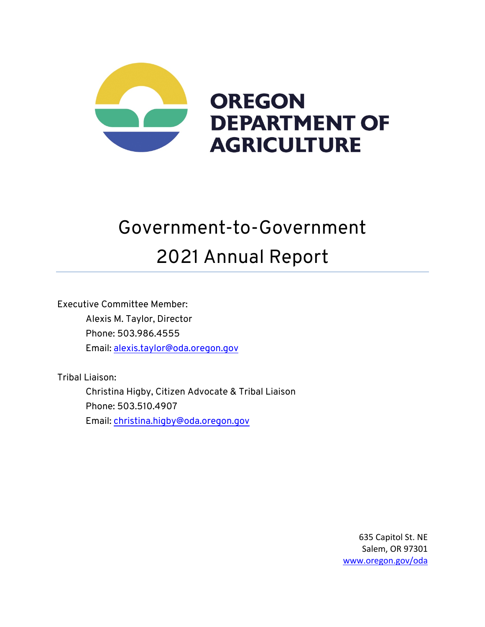

# Government-to-Government 2021 Annual Report

Executive Committee Member: Alexis M. Taylor, Director Phone: 503.986.4555 Email: alexis.taylor@oda.oregon.gov

Tribal Liaison:

Christina Higby, Citizen Advocate & Tribal Liaison Phone: 503.510.4907 Email: christina.higby@oda.oregon.gov

> 635 Capitol St. NE Salem, OR 97301 www.oregon.gov/oda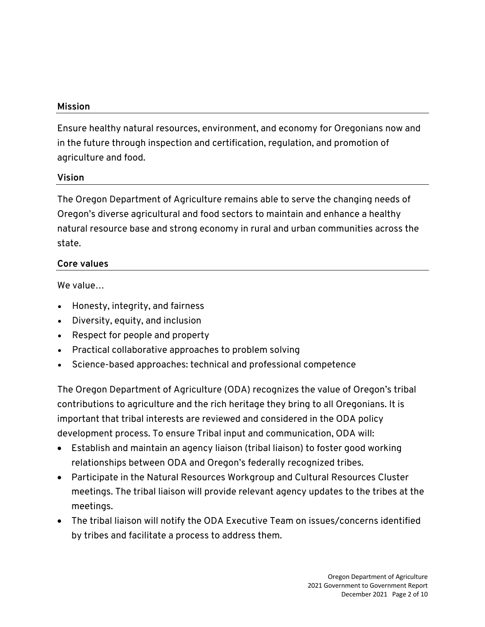## **Mission**

Ensure healthy natural resources, environment, and economy for Oregonians now and in the future through inspection and certification, regulation, and promotion of agriculture and food.

# **Vision**

The Oregon Department of Agriculture remains able to serve the changing needs of Oregon's diverse agricultural and food sectors to maintain and enhance a healthy natural resource base and strong economy in rural and urban communities across the state.

# **Core values**

We value…

- Honesty, integrity, and fairness
- Diversity, equity, and inclusion
- Respect for people and property
- Practical collaborative approaches to problem solving
- Science-based approaches: technical and professional competence

The Oregon Department of Agriculture (ODA) recognizes the value of Oregon's tribal contributions to agriculture and the rich heritage they bring to all Oregonians. It is important that tribal interests are reviewed and considered in the ODA policy development process. To ensure Tribal input and communication, ODA will:

- Establish and maintain an agency liaison (tribal liaison) to foster good working relationships between ODA and Oregon's federally recognized tribes.
- Participate in the Natural Resources Workgroup and Cultural Resources Cluster meetings. The tribal liaison will provide relevant agency updates to the tribes at the meetings.
- The tribal liaison will notify the ODA Executive Team on issues/concerns identified by tribes and facilitate a process to address them.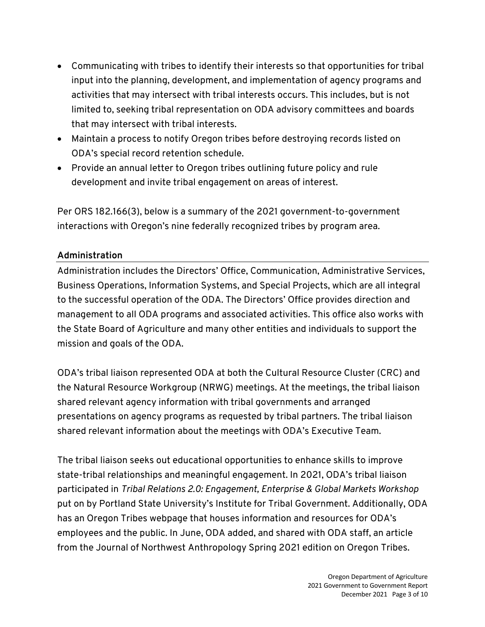- Communicating with tribes to identify their interests so that opportunities for tribal input into the planning, development, and implementation of agency programs and activities that may intersect with tribal interests occurs. This includes, but is not limited to, seeking tribal representation on ODA advisory committees and boards that may intersect with tribal interests.
- Maintain a process to notify Oregon tribes before destroying records listed on ODA's special record retention schedule.
- Provide an annual letter to Oregon tribes outlining future policy and rule development and invite tribal engagement on areas of interest.

Per ORS 182.166(3), below is a summary of the 2021 government-to-government interactions with Oregon's nine federally recognized tribes by program area.

# **Administration**

Administration includes the Directors' Office, Communication, Administrative Services, Business Operations, Information Systems, and Special Projects, which are all integral to the successful operation of the ODA. The Directors' Office provides direction and management to all ODA programs and associated activities. This office also works with the State Board of Agriculture and many other entities and individuals to support the mission and goals of the ODA.

ODA's tribal liaison represented ODA at both the Cultural Resource Cluster (CRC) and the Natural Resource Workgroup (NRWG) meetings. At the meetings, the tribal liaison shared relevant agency information with tribal governments and arranged presentations on agency programs as requested by tribal partners. The tribal liaison shared relevant information about the meetings with ODA's Executive Team.

The tribal liaison seeks out educational opportunities to enhance skills to improve state-tribal relationships and meaningful engagement. In 2021, ODA's tribal liaison participated in *Tribal Relations 2.0: Engagement, Enterprise & Global Markets Workshop* put on by Portland State University's Institute for Tribal Government. Additionally, ODA has an Oregon Tribes webpage that houses information and resources for ODA's employees and the public. In June, ODA added, and shared with ODA staff, an article from the Journal of Northwest Anthropology Spring 2021 edition on Oregon Tribes.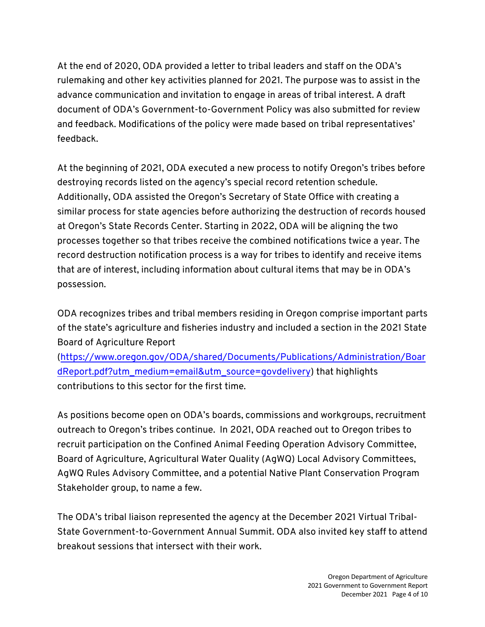At the end of 2020, ODA provided a letter to tribal leaders and staff on the ODA's rulemaking and other key activities planned for 2021. The purpose was to assist in the advance communication and invitation to engage in areas of tribal interest. A draft document of ODA's Government-to-Government Policy was also submitted for review and feedback. Modifications of the policy were made based on tribal representatives' feedback.

At the beginning of 2021, ODA executed a new process to notify Oregon's tribes before destroying records listed on the agency's special record retention schedule. Additionally, ODA assisted the Oregon's Secretary of State Office with creating a similar process for state agencies before authorizing the destruction of records housed at Oregon's State Records Center. Starting in 2022, ODA will be aligning the two processes together so that tribes receive the combined notifications twice a year. The record destruction notification process is a way for tribes to identify and receive items that are of interest, including information about cultural items that may be in ODA's possession.

ODA recognizes tribes and tribal members residing in Oregon comprise important parts of the state's agriculture and fisheries industry and included a section in the 2021 State Board of Agriculture Report

(https://www.oregon.gov/ODA/shared/Documents/Publications/Administration/Boar dReport.pdf?utm\_medium=email&utm\_source=govdelivery) that highlights contributions to this sector for the first time.

As positions become open on ODA's boards, commissions and workgroups, recruitment outreach to Oregon's tribes continue. In 2021, ODA reached out to Oregon tribes to recruit participation on the Confined Animal Feeding Operation Advisory Committee, Board of Agriculture, Agricultural Water Quality (AgWQ) Local Advisory Committees, AgWQ Rules Advisory Committee, and a potential Native Plant Conservation Program Stakeholder group, to name a few.

The ODA's tribal liaison represented the agency at the December 2021 Virtual Tribal-State Government-to-Government Annual Summit. ODA also invited key staff to attend breakout sessions that intersect with their work.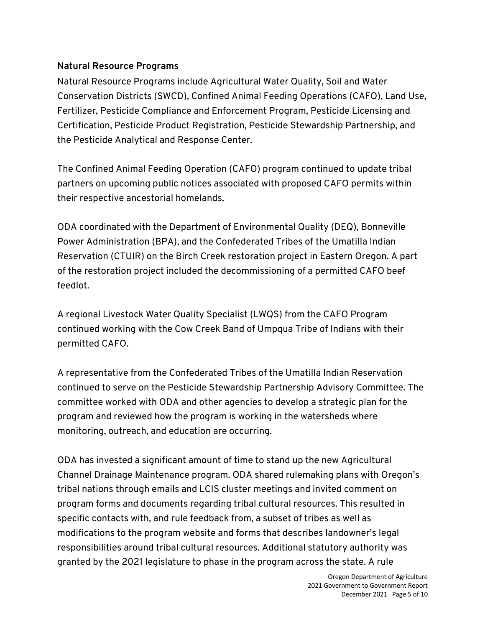# **Natural Resource Programs**

Natural Resource Programs include Agricultural Water Quality, Soil and Water Conservation Districts (SWCD), Confined Animal Feeding Operations (CAFO), Land Use, Fertilizer, Pesticide Compliance and Enforcement Program, Pesticide Licensing and Certification, Pesticide Product Registration, Pesticide Stewardship Partnership, and the Pesticide Analytical and Response Center.

The Confined Animal Feeding Operation (CAFO) program continued to update tribal partners on upcoming public notices associated with proposed CAFO permits within their respective ancestorial homelands.

ODA coordinated with the Department of Environmental Quality (DEQ), Bonneville Power Administration (BPA), and the Confederated Tribes of the Umatilla Indian Reservation (CTUIR) on the Birch Creek restoration project in Eastern Oregon. A part of the restoration project included the decommissioning of a permitted CAFO beef feedlot.

A regional Livestock Water Quality Specialist (LWQS) from the CAFO Program continued working with the Cow Creek Band of Umpqua Tribe of Indians with their permitted CAFO.

A representative from the Confederated Tribes of the Umatilla Indian Reservation continued to serve on the Pesticide Stewardship Partnership Advisory Committee. The committee worked with ODA and other agencies to develop a strategic plan for the program and reviewed how the program is working in the watersheds where monitoring, outreach, and education are occurring.

ODA has invested a significant amount of time to stand up the new Agricultural Channel Drainage Maintenance program. ODA shared rulemaking plans with Oregon's tribal nations through emails and LCIS cluster meetings and invited comment on program forms and documents regarding tribal cultural resources. This resulted in specific contacts with, and rule feedback from, a subset of tribes as well as modifications to the program website and forms that describes landowner's legal responsibilities around tribal cultural resources. Additional statutory authority was granted by the 2021 legislature to phase in the program across the state. A rule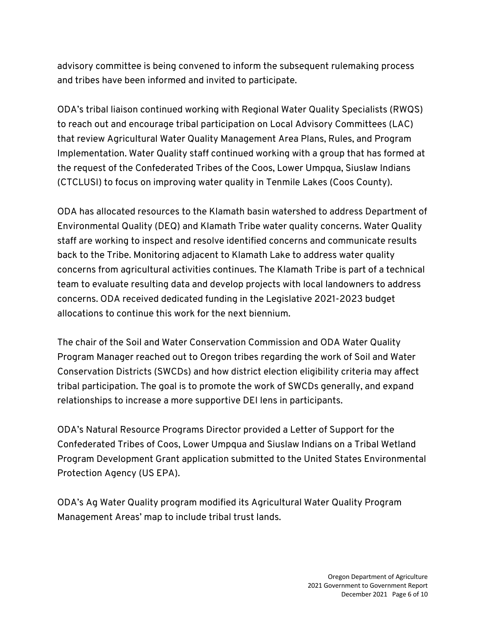advisory committee is being convened to inform the subsequent rulemaking process and tribes have been informed and invited to participate.

ODA's tribal liaison continued working with Regional Water Quality Specialists (RWQS) to reach out and encourage tribal participation on Local Advisory Committees (LAC) that review Agricultural Water Quality Management Area Plans, Rules, and Program Implementation. Water Quality staff continued working with a group that has formed at the request of the Confederated Tribes of the Coos, Lower Umpqua, Siuslaw Indians (CTCLUSI) to focus on improving water quality in Tenmile Lakes (Coos County).

ODA has allocated resources to the Klamath basin watershed to address Department of Environmental Quality (DEQ) and Klamath Tribe water quality concerns. Water Quality staff are working to inspect and resolve identified concerns and communicate results back to the Tribe. Monitoring adjacent to Klamath Lake to address water quality concerns from agricultural activities continues. The Klamath Tribe is part of a technical team to evaluate resulting data and develop projects with local landowners to address concerns. ODA received dedicated funding in the Legislative 2021-2023 budget allocations to continue this work for the next biennium.

The chair of the Soil and Water Conservation Commission and ODA Water Quality Program Manager reached out to Oregon tribes regarding the work of Soil and Water Conservation Districts (SWCDs) and how district election eligibility criteria may affect tribal participation. The goal is to promote the work of SWCDs generally, and expand relationships to increase a more supportive DEI lens in participants.

ODA's Natural Resource Programs Director provided a Letter of Support for the Confederated Tribes of Coos, Lower Umpqua and Siuslaw Indians on a Tribal Wetland Program Development Grant application submitted to the United States Environmental Protection Agency (US EPA).

ODA's Ag Water Quality program modified its Agricultural Water Quality Program Management Areas' map to include tribal trust lands.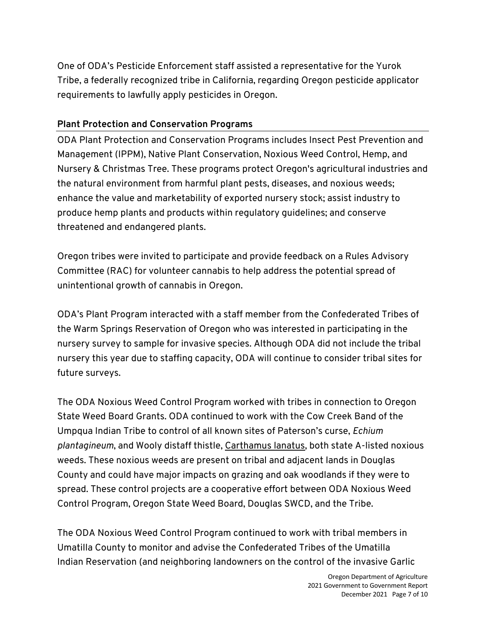One of ODA's Pesticide Enforcement staff assisted a representative for the Yurok Tribe, a federally recognized tribe in California, regarding Oregon pesticide applicator requirements to lawfully apply pesticides in Oregon.

### **Plant Protection and Conservation Programs**

ODA Plant Protection and Conservation Programs includes Insect Pest Prevention and Management (IPPM), Native Plant Conservation, Noxious Weed Control, Hemp, and Nursery & Christmas Tree. These programs protect Oregon's agricultural industries and the natural environment from harmful plant pests, diseases, and noxious weeds; enhance the value and marketability of exported nursery stock; assist industry to produce hemp plants and products within regulatory guidelines; and conserve threatened and endangered plants.

Oregon tribes were invited to participate and provide feedback on a Rules Advisory Committee (RAC) for volunteer cannabis to help address the potential spread of unintentional growth of cannabis in Oregon.

ODA's Plant Program interacted with a staff member from the Confederated Tribes of the Warm Springs Reservation of Oregon who was interested in participating in the nursery survey to sample for invasive species. Although ODA did not include the tribal nursery this year due to staffing capacity, ODA will continue to consider tribal sites for future surveys.

The ODA Noxious Weed Control Program worked with tribes in connection to Oregon State Weed Board Grants. ODA continued to work with the Cow Creek Band of the Umpqua Indian Tribe to control of all known sites of Paterson's curse, *Echium plantagineum*, and Wooly distaff thistle, Carthamus lanatus, both state A-listed noxious weeds. These noxious weeds are present on tribal and adjacent lands in Douglas County and could have major impacts on grazing and oak woodlands if they were to spread. These control projects are a cooperative effort between ODA Noxious Weed Control Program, Oregon State Weed Board, Douglas SWCD, and the Tribe.

The ODA Noxious Weed Control Program continued to work with tribal members in Umatilla County to monitor and advise the Confederated Tribes of the Umatilla Indian Reservation (and neighboring landowners on the control of the invasive Garlic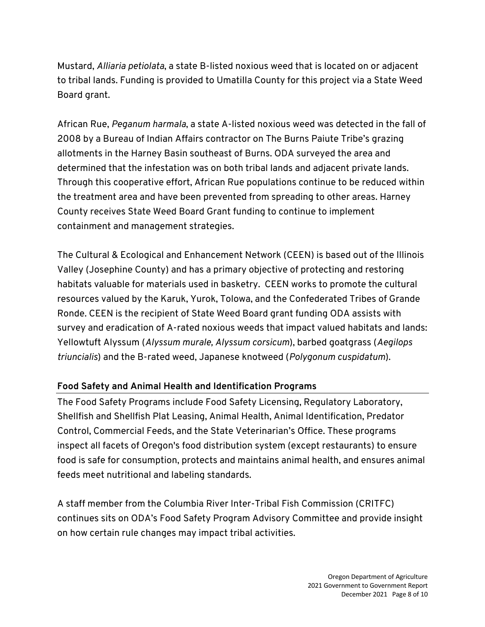Mustard, *Alliaria petiolata*, a state B-listed noxious weed that is located on or adjacent to tribal lands. Funding is provided to Umatilla County for this project via a State Weed Board grant.

African Rue, *Peganum harmala*, a state A-listed noxious weed was detected in the fall of 2008 by a Bureau of Indian Affairs contractor on The Burns Paiute Tribe's grazing allotments in the Harney Basin southeast of Burns. ODA surveyed the area and determined that the infestation was on both tribal lands and adjacent private lands. Through this cooperative effort, African Rue populations continue to be reduced within the treatment area and have been prevented from spreading to other areas. Harney County receives State Weed Board Grant funding to continue to implement containment and management strategies.

The Cultural & Ecological and Enhancement Network (CEEN) is based out of the Illinois Valley (Josephine County) and has a primary objective of protecting and restoring habitats valuable for materials used in basketry. CEEN works to promote the cultural resources valued by the Karuk, Yurok, Tolowa, and the Confederated Tribes of Grande Ronde. CEEN is the recipient of State Weed Board grant funding ODA assists with survey and eradication of A-rated noxious weeds that impact valued habitats and lands: Yellowtuft Alyssum (*Alyssum murale, Alyssum corsicum*), barbed goatgrass (*Aegilops triuncialis*) and the B-rated weed, Japanese knotweed (*Polygonum cuspidatum*).

#### **Food Safety and Animal Health and Identification Programs**

The Food Safety Programs include Food Safety Licensing, Regulatory Laboratory, Shellfish and Shellfish Plat Leasing, Animal Health, Animal Identification, Predator Control, Commercial Feeds, and the State Veterinarian's Office. These programs inspect all facets of Oregon's food distribution system (except restaurants) to ensure food is safe for consumption, protects and maintains animal health, and ensures animal feeds meet nutritional and labeling standards.

A staff member from the Columbia River Inter-Tribal Fish Commission (CRITFC) continues sits on ODA's Food Safety Program Advisory Committee and provide insight on how certain rule changes may impact tribal activities.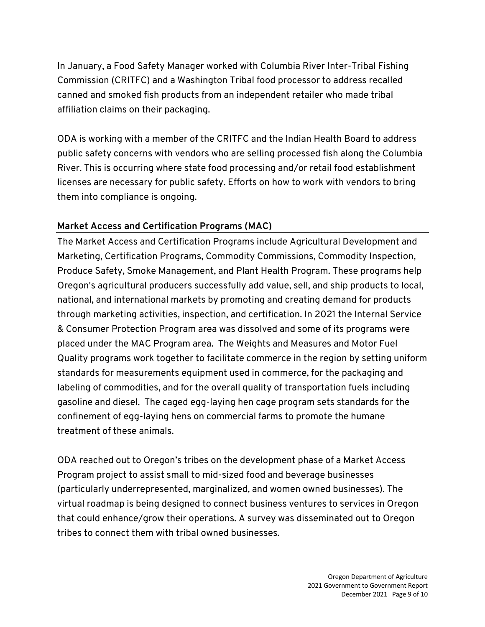In January, a Food Safety Manager worked with Columbia River Inter-Tribal Fishing Commission (CRITFC) and a Washington Tribal food processor to address recalled canned and smoked fish products from an independent retailer who made tribal affiliation claims on their packaging.

ODA is working with a member of the CRITFC and the Indian Health Board to address public safety concerns with vendors who are selling processed fish along the Columbia River. This is occurring where state food processing and/or retail food establishment licenses are necessary for public safety. Efforts on how to work with vendors to bring them into compliance is ongoing.

# **Market Access and Certification Programs (MAC)**

The Market Access and Certification Programs include Agricultural Development and Marketing, Certification Programs, Commodity Commissions, Commodity Inspection, Produce Safety, Smoke Management, and Plant Health Program. These programs help Oregon's agricultural producers successfully add value, sell, and ship products to local, national, and international markets by promoting and creating demand for products through marketing activities, inspection, and certification. In 2021 the Internal Service & Consumer Protection Program area was dissolved and some of its programs were placed under the MAC Program area. The Weights and Measures and Motor Fuel Quality programs work together to facilitate commerce in the region by setting uniform standards for measurements equipment used in commerce, for the packaging and labeling of commodities, and for the overall quality of transportation fuels including gasoline and diesel. The caged egg-laying hen cage program sets standards for the confinement of egg-laying hens on commercial farms to promote the humane treatment of these animals.

ODA reached out to Oregon's tribes on the development phase of a Market Access Program project to assist small to mid-sized food and beverage businesses (particularly underrepresented, marginalized, and women owned businesses). The virtual roadmap is being designed to connect business ventures to services in Oregon that could enhance/grow their operations. A survey was disseminated out to Oregon tribes to connect them with tribal owned businesses.